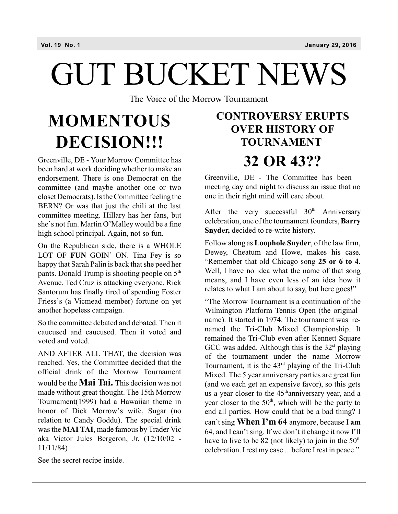# GUT BUCKET NEWS

The Voice of the Morrow Tournament

# **MOMENTOUS DECISION!!!**

Greenville, DE - Your Morrow Committee has been hard at work deciding whether to make an endorsement. There is one Democrat on the committee (and maybe another one or two closet Democrats). Is the Committee feeling the BERN? Or was that just the chili at the last committee meeting. Hillary has her fans, but she's not fun. Martin O'Malley would be a fine high school principal. Again, not so fun.

On the Republican side, there is a WHOLE LOT OF **FUN** GOIN' ON. Tina Fey is so happy that Sarah Palin is back that she peed her pants. Donald Trump is shooting people on 5<sup>th</sup> Avenue. Ted Cruz is attacking everyone. Rick Santorum has finally tired of spending Foster Friess's (a Vicmead member) fortune on yet another hopeless campaign.

So the committee debated and debated. Then it caucused and caucused. Then it voted and voted and voted.

AND AFTER ALL THAT, the decision was reached. Yes, the Committee decided that the official drink of the Morrow Tournament would be the **Mai Tai.** This decision was not made without great thought. The 15th Morrow Tournament(1999) had a Hawaiian theme in honor of Dick Morrow's wife, Sugar (no relation to Candy Goddu). The special drink was the **MAI TAI**, made famous by Trader Vic aka Victor Jules Bergeron, Jr. (12/10/02 - 11/11/84)

See the secret recipe inside.

## **CONTROVERSY ERUPTS OVER HISTORY OF TOURNAMENT 32 OR 43??**

Greenville, DE - The Committee has been meeting day and night to discuss an issue that no one in their right mind will care about.

After the very successful  $30<sup>th</sup>$  Anniversary celebration, one of the tournament founders, **Barry Snyder,** decided to re-write history.

Follow along as **Loophole Snyder**, of the law firm, Dewey, Cheatum and Howe, makes his case. "Remember that old Chicago song **25 or 6 to 4**. Well, I have no idea what the name of that song means, and I have even less of an idea how it relates to what I am about to say, but here goes!"

"The Morrow Tournament is a continuation of the Wilmington Platform Tennis Open (the original name). It started in 1974. The tournament was renamed the Tri-Club Mixed Championship. It remained the Tri-Club even after Kennett Square GCC was added. Although this is the  $32<sup>st</sup>$  playing of the tournament under the name Morrow Tournament, it is the  $43<sup>rd</sup>$  playing of the Tri-Club Mixed. The 5 year anniversary parties are great fun (and we each get an expensive favor), so this gets us a year closer to the  $45<sup>th</sup>$ anniversary year, and a year closer to the  $50<sup>th</sup>$ , which will be the party to end all parties. How could that be a bad thing? I can't sing **When I'm 64** anymore, because I **am** 64, and I can't sing. If we don't it change it now I'll have to live to be 82 (not likely) to join in the  $50<sup>th</sup>$ celebration. Irest my case ... before Irest in peace."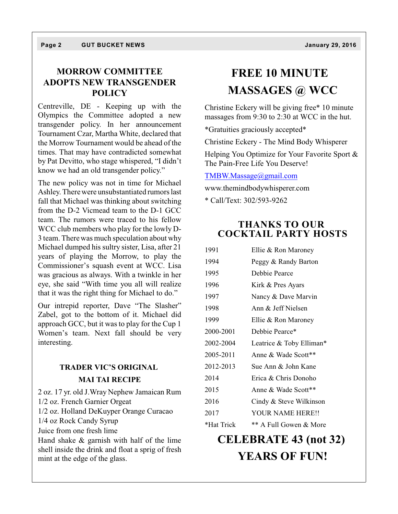## **MORROW COMMITTEE ADOPTS NEW TRANSGENDER POLICY**

Centreville, DE - Keeping up with the Olympics the Committee adopted a new transgender policy. In her announcement Tournament Czar, Martha White, declared that the Morrow Tournament would be ahead of the times. That may have contradicted somewhat by Pat Devitto, who stage whispered, "I didn't know we had an old transgender policy."

The new policy was not in time for Michael Ashley. Therewere unsubstantiated rumors last fall that Michael was thinking about switching from the D-2 Vicmead team to the D-1 GCC team. The rumors were traced to his fellow WCC club members who play for the lowly D-3 team. Therewas much speculation about why Michael dumped his sultry sister, Lisa, after 21 years of playing the Morrow, to play the Commissioner's squash event at WCC. Lisa was gracious as always. With a twinkle in her eye, she said "With time you all will realize that it was the right thing for Michael to do."

Our intrepid reporter, Dave "The Slasher" Zabel, got to the bottom of it. Michael did approach GCC, but it was to play for the Cup 1 Women's team. Next fall should be very interesting.

## **TRADER VIC'S ORIGINAL MAI TAI RECIPE**

2 oz. 17 yr. old J.Wray Nephew Jamaican Rum 1/2 oz. French Garnier Orgeat 1/2 oz. Holland DeKuyper Orange Curacao 1/4 oz Rock Candy Syrup Juice from one fresh lime Hand shake & garnish with half of the lime shell inside the drink and float a sprig of fresh mint at the edge of the glass.

## **FREE 10 MINUTE MASSAGES @ WCC**

Christine Eckery will be giving free\* 10 minute massages from 9:30 to 2:30 at WCC in the hut.

\*Gratuities graciously accepted\*

Christine Eckery - The Mind Body Whisperer

Helping You Optimize for Your Favorite Sport & The Pain-Free Life You Deserve!

#### [TMBW.Massage@gmail.com](mailto:TMBW.Massage@gmail.com)

www.themindbodywhisperer.com

\* Call/Text: 302/593-9262

#### **THANKS TO OUR COCKTAIL PARTY HOSTS**

| 1991       | Ellie & Ron Maroney      |  |  |
|------------|--------------------------|--|--|
| 1994       | Peggy & Randy Barton     |  |  |
| 1995       | Debbie Pearce            |  |  |
| 1996       | Kirk & Pres Ayars        |  |  |
| 1997       | Nancy & Dave Marvin      |  |  |
| 1998       | Ann & Jeff Nielsen       |  |  |
| 1999       | Ellie & Ron Maroney      |  |  |
| 2000-2001  | Debbie Pearce*           |  |  |
| 2002-2004  | Leatrice & Toby Elliman* |  |  |
| 2005-2011  | Anne & Wade Scott**      |  |  |
| 2012-2013  | Sue Ann & John Kane      |  |  |
| 2014       | Erica & Chris Donoho     |  |  |
| 2015       | Anne & Wade Scott**      |  |  |
| 2016       | Cindy & Steve Wilkinson  |  |  |
| 2017       | YOUR NAME HERE!!         |  |  |
| *Hat Trick | ** A Full Gowen & More   |  |  |
|            |                          |  |  |

## **CELEBRATE 43 (not 32) YEARS OF FUN!**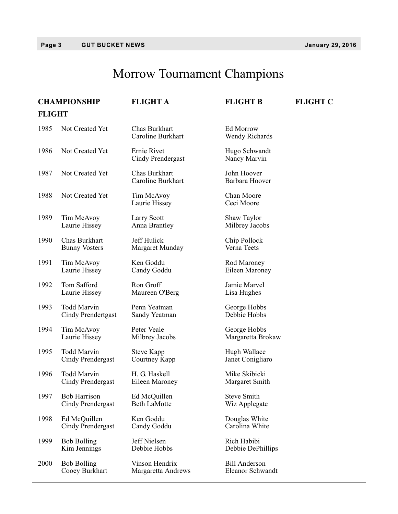#### **Page 3 GUT BUCKET NEWS January 29, 2016**

## Morrow Tournament Champions

|               | <b>CHAMPIONSHIP</b>                      | <b>FLIGHT A</b>                         | <b>FLIGHT B</b>                          | <b>FLIGHT C</b> |
|---------------|------------------------------------------|-----------------------------------------|------------------------------------------|-----------------|
| <b>FLIGHT</b> |                                          |                                         |                                          |                 |
| 1985          | Not Created Yet                          | Chas Burkhart<br>Caroline Burkhart      | Ed Morrow<br>Wendy Richards              |                 |
| 1986          | Not Created Yet                          | Ernie Rivet<br><b>Cindy Prendergast</b> | Hugo Schwandt<br>Nancy Marvin            |                 |
| 1987          | Not Created Yet                          | Chas Burkhart<br>Caroline Burkhart      | John Hoover<br>Barbara Hoover            |                 |
| 1988          | Not Created Yet                          | Tim McAvoy<br>Laurie Hissey             | Chan Moore<br>Ceci Moore                 |                 |
| 1989          | Tim McAvoy<br>Laurie Hissey              | Larry Scott<br>Anna Brantley            | Shaw Taylor<br>Milbrey Jacobs            |                 |
| 1990          | Chas Burkhart<br><b>Bunny Vosters</b>    | Jeff Hulick<br>Margaret Munday          | Chip Pollock<br>Verna Teets              |                 |
| 1991          | Tim McAvoy<br>Laurie Hissey              | Ken Goddu<br>Candy Goddu                | Rod Maroney<br>Eileen Maroney            |                 |
| 1992          | Tom Safford<br>Laurie Hissey             | Ron Groff<br>Maureen O'Berg             | Jamie Marvel<br>Lisa Hughes              |                 |
| 1993          | <b>Todd Marvin</b><br>Cindy Prendertgast | Penn Yeatman<br>Sandy Yeatman           | George Hobbs<br>Debbie Hobbs             |                 |
| 1994          | Tim McAvoy<br>Laurie Hissey              | Peter Veale<br>Milbrey Jacobs           | George Hobbs<br>Margaretta Brokaw        |                 |
| 1995          | <b>Todd Marvin</b><br>Cindy Prendergast  | Steve Kapp<br>Courtney Kapp             | Hugh Wallace<br>Janet Conigliaro         |                 |
| 1996          | Todd Marvin<br>Cindy Prendergast         | H. G. Haskell<br>Eileen Maroney         | Mike Skibicki<br>Margaret Smith          |                 |
| 1997          | <b>Bob Harrison</b><br>Cindy Prendergast | Ed McQuillen<br><b>Beth LaMotte</b>     | <b>Steve Smith</b><br>Wiz Applegate      |                 |
| 1998          | Ed McQuillen<br>Cindy Prendergast        | Ken Goddu<br>Candy Goddu                | Douglas White<br>Carolina White          |                 |
| 1999          | <b>Bob Bolling</b><br>Kim Jennings       | Jeff Nielsen<br>Debbie Hobbs            | Rich Habibi<br>Debbie DePhillips         |                 |
| 2000          | <b>Bob Bolling</b><br>Cooey Burkhart     | Vinson Hendrix<br>Margaretta Andrews    | <b>Bill Anderson</b><br>Eleanor Schwandt |                 |